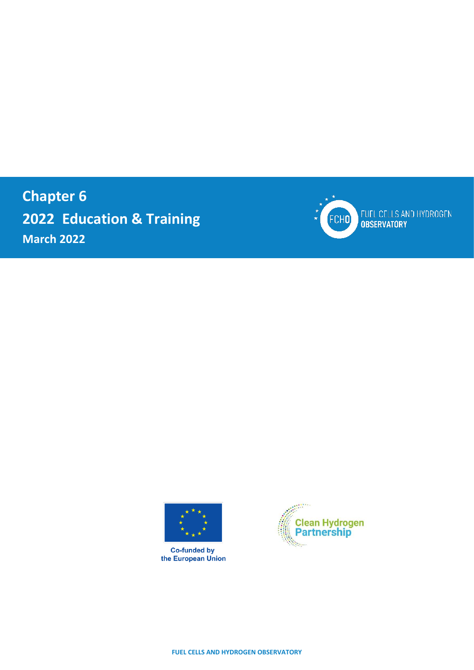**Chapter 6 2022 Education & Training March 2022**



FUEL CELLS AND HYDROGEN<br>OBSERVATORY



**Co-funded by**<br>the European Union



**FUEL CELLS AND HYDROGEN OBSERVATORY**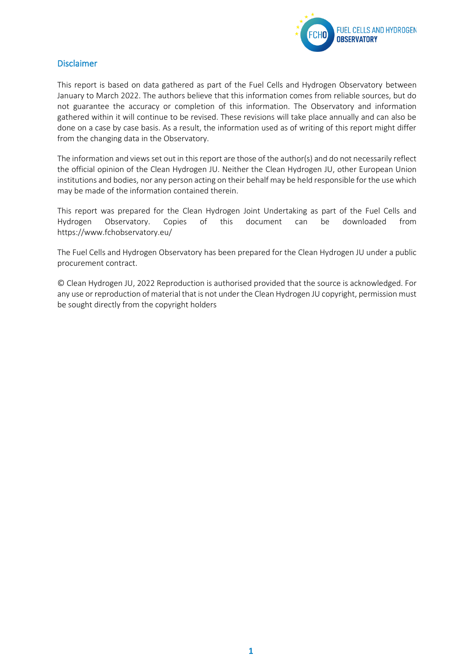

### <span id="page-1-0"></span>Disclaimer

This report is based on data gathered as part of the Fuel Cells and Hydrogen Observatory between January to March 2022. The authors believe that this information comes from reliable sources, but do not guarantee the accuracy or completion of this information. The Observatory and information gathered within it will continue to be revised. These revisions will take place annually and can also be done on a case by case basis. As a result, the information used as of writing of this report might differ from the changing data in the Observatory.

The information and views set out in this report are those of the author(s) and do not necessarily reflect the official opinion of the Clean Hydrogen JU. Neither the Clean Hydrogen JU, other European Union institutions and bodies, nor any person acting on their behalf may be held responsible for the use which may be made of the information contained therein.

This report was prepared for the Clean Hydrogen Joint Undertaking as part of the Fuel Cells and Hydrogen Observatory. Copies of this document can be downloaded from <https://www.fchobservatory.eu/>

The Fuel Cells and Hydrogen Observatory has been prepared for the Clean Hydrogen JU under a public procurement contract.

© Clean Hydrogen JU, 2022 Reproduction is authorised provided that the source is acknowledged. For any use or reproduction of material that is not under the Clean Hydrogen JU copyright, permission must be sought directly from the copyright holders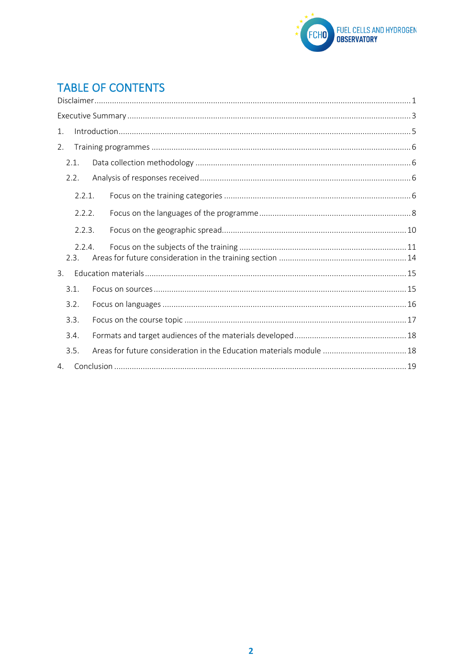

### **TABLE OF CONTENTS**  $\overline{C}$

| 1. |                |                                                                      |  |  |  |
|----|----------------|----------------------------------------------------------------------|--|--|--|
| 2. |                |                                                                      |  |  |  |
|    | 2.1.           |                                                                      |  |  |  |
|    | 2.2.           |                                                                      |  |  |  |
|    | 2.2.1.         |                                                                      |  |  |  |
|    | 2.2.2.         |                                                                      |  |  |  |
|    | 2.2.3.         |                                                                      |  |  |  |
|    | 2.2.4.<br>2.3. |                                                                      |  |  |  |
| 3. |                |                                                                      |  |  |  |
|    | 3.1.           |                                                                      |  |  |  |
|    | 3.2.           |                                                                      |  |  |  |
|    | 3.3.           |                                                                      |  |  |  |
|    | 3.4.           |                                                                      |  |  |  |
|    | 3.5.           | Areas for future consideration in the Education materials module  18 |  |  |  |
| 4. |                |                                                                      |  |  |  |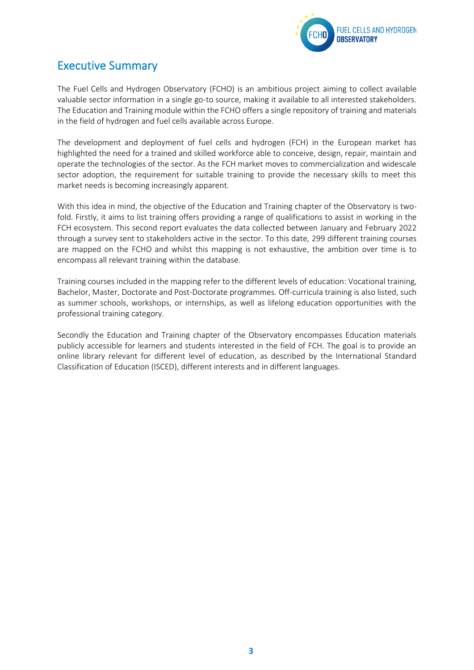

# <span id="page-3-0"></span>Executive Summary

The Fuel Cells and Hydrogen Observatory (FCHO) is an ambitious project aiming to collect available valuable sector information in a single go-to source, making it available to all interested stakeholders. The Education and Training module within the FCHO offers a single repository of training and materials in the field of hydrogen and fuel cells available across Europe.

The development and deployment of fuel cells and hydrogen (FCH) in the European market has highlighted the need for a trained and skilled workforce able to conceive, design, repair, maintain and operate the technologies of the sector. As the FCH market moves to commercialization and widescale sector adoption, the requirement for suitable training to provide the necessary skills to meet this market needs is becoming increasingly apparent.

With this idea in mind, the objective of the Education and Training chapter of the Observatory is twofold. Firstly, it aims to list training offers providing a range of qualifications to assist in working in the FCH ecosystem. This second report evaluates the data collected between January and February 2022 through a survey sent to stakeholders active in the sector. To this date, 299 different training courses are mapped on the FCHO and whilst this mapping is not exhaustive, the ambition over time is to encompass all relevant training within the database.

Training courses included in the mapping refer to the different levels of education: Vocational training, Bachelor, Master, Doctorate and Post-Doctorate programmes. Off-curricula training is also listed, such as summer schools, workshops, or internships, as well as lifelong education opportunities with the professional training category.

Secondly the Education and Training chapter of the Observatory encompasses Education materials publicly accessible for learners and students interested in the field of FCH. The goal is to provide an online library relevant for different level of education, as described by the International Standard Classification of Education (ISCED), different interests and in different languages.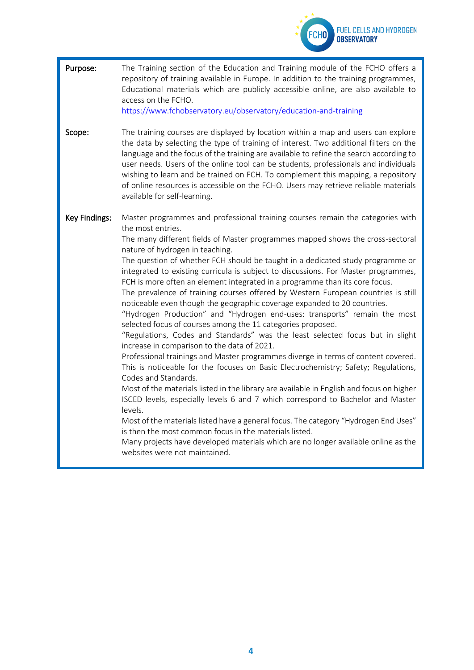

| Purpose:             | The Training section of the Education and Training module of the FCHO offers a<br>repository of training available in Europe. In addition to the training programmes,<br>Educational materials which are publicly accessible online, are also available to<br>access on the FCHO.<br>https://www.fchobservatory.eu/observatory/education-and-training                                                                                                                                                                                                                                                                                                                                                                                                                                                                                                                                                                                                                                                                                                                                                                                                                                                                                                                                                                                                                                                                                                                                                                                                                                             |
|----------------------|---------------------------------------------------------------------------------------------------------------------------------------------------------------------------------------------------------------------------------------------------------------------------------------------------------------------------------------------------------------------------------------------------------------------------------------------------------------------------------------------------------------------------------------------------------------------------------------------------------------------------------------------------------------------------------------------------------------------------------------------------------------------------------------------------------------------------------------------------------------------------------------------------------------------------------------------------------------------------------------------------------------------------------------------------------------------------------------------------------------------------------------------------------------------------------------------------------------------------------------------------------------------------------------------------------------------------------------------------------------------------------------------------------------------------------------------------------------------------------------------------------------------------------------------------------------------------------------------------|
| Scope:               | The training courses are displayed by location within a map and users can explore<br>the data by selecting the type of training of interest. Two additional filters on the<br>language and the focus of the training are available to refine the search according to<br>user needs. Users of the online tool can be students, professionals and individuals<br>wishing to learn and be trained on FCH. To complement this mapping, a repository<br>of online resources is accessible on the FCHO. Users may retrieve reliable materials<br>available for self-learning.                                                                                                                                                                                                                                                                                                                                                                                                                                                                                                                                                                                                                                                                                                                                                                                                                                                                                                                                                                                                                           |
| <b>Key Findings:</b> | Master programmes and professional training courses remain the categories with<br>the most entries.<br>The many different fields of Master programmes mapped shows the cross-sectoral<br>nature of hydrogen in teaching.<br>The question of whether FCH should be taught in a dedicated study programme or<br>integrated to existing curricula is subject to discussions. For Master programmes,<br>FCH is more often an element integrated in a programme than its core focus.<br>The prevalence of training courses offered by Western European countries is still<br>noticeable even though the geographic coverage expanded to 20 countries.<br>"Hydrogen Production" and "Hydrogen end-uses: transports" remain the most<br>selected focus of courses among the 11 categories proposed.<br>"Regulations, Codes and Standards" was the least selected focus but in slight<br>increase in comparison to the data of 2021.<br>Professional trainings and Master programmes diverge in terms of content covered.<br>This is noticeable for the focuses on Basic Electrochemistry; Safety; Regulations,<br>Codes and Standards.<br>Most of the materials listed in the library are available in English and focus on higher<br>ISCED levels, especially levels 6 and 7 which correspond to Bachelor and Master<br>levels.<br>Most of the materials listed have a general focus. The category "Hydrogen End Uses"<br>is then the most common focus in the materials listed.<br>Many projects have developed materials which are no longer available online as the<br>websites were not maintained. |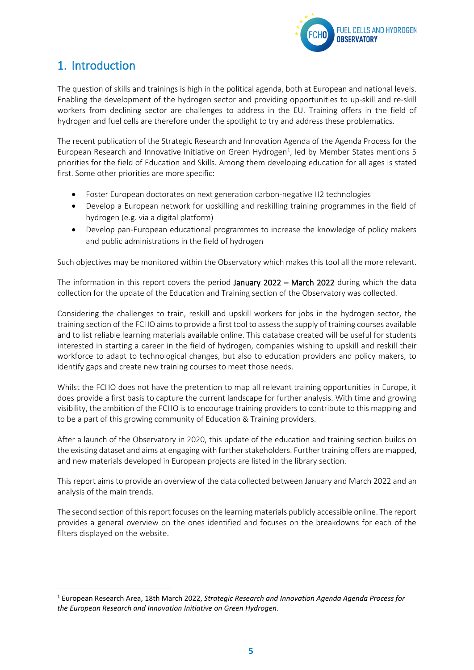

# <span id="page-5-0"></span>1. Introduction

The question of skills and trainings is high in the political agenda, both at European and national levels. Enabling the development of the hydrogen sector and providing opportunities to up-skill and re-skill workers from declining sector are challenges to address in the EU. Training offers in the field of hydrogen and fuel cells are therefore under the spotlight to try and address these problematics.

The recent publication of the Strategic Research and Innovation Agenda of the Agenda Process for the European Research and Innovative Initiative on Green Hydrogen<sup>1</sup>, led by Member States mentions 5 priorities for the field of Education and Skills. Among them developing education for all ages is stated first. Some other priorities are more specific:

- Foster European doctorates on next generation carbon-negative H2 technologies
- Develop a European network for upskilling and reskilling training programmes in the field of hydrogen (e.g. via a digital platform)
- Develop pan-European educational programmes to increase the knowledge of policy makers and public administrations in the field of hydrogen

Such objectives may be monitored within the Observatory which makes this tool all the more relevant.

The information in this report covers the period January 2022 – March 2022 during which the data collection for the update of the Education and Training section of the Observatory was collected.

Considering the challenges to train, reskill and upskill workers for jobs in the hydrogen sector, the training section of the FCHO aims to provide a first tool to assess the supply of training courses available and to list reliable learning materials available online. This database created will be useful for students interested in starting a career in the field of hydrogen, companies wishing to upskill and reskill their workforce to adapt to technological changes, but also to education providers and policy makers, to identify gaps and create new training courses to meet those needs.

Whilst the FCHO does not have the pretention to map all relevant training opportunities in Europe, it does provide a first basis to capture the current landscape for further analysis. With time and growing visibility, the ambition of the FCHO is to encourage training providers to contribute to this mapping and to be a part of this growing community of Education & Training providers.

After a launch of the Observatory in 2020, this update of the education and training section builds on the existing dataset and aims at engaging with further stakeholders. Further training offers are mapped, and new materials developed in European projects are listed in the library section.

This report aims to provide an overview of the data collected between January and March 2022 and an analysis of the main trends.

The second section of this report focuses on the learning materials publicly accessible online. The report provides a general overview on the ones identified and focuses on the breakdowns for each of the filters displayed on the website.

<sup>1</sup> European Research Area, 18th March 2022, *Strategic Research and Innovation Agenda Agenda Process for the European Research and Innovation Initiative on Green Hydrogen.*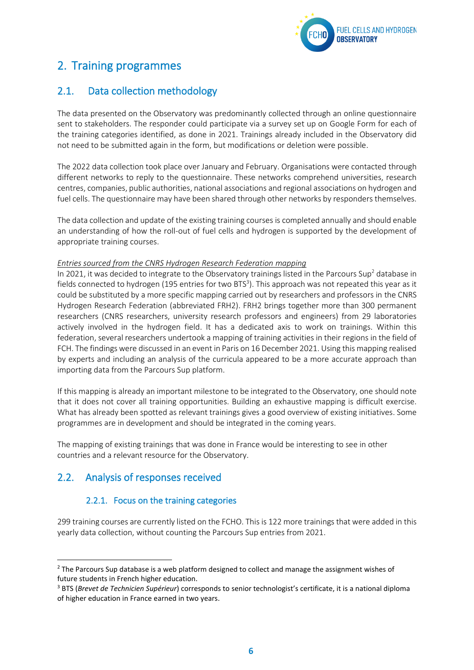

# <span id="page-6-0"></span>2. Training programmes

## <span id="page-6-1"></span>2.1. Data collection methodology

The data presented on the Observatory was predominantly collected through an online questionnaire sent to stakeholders. The responder could participate via a survey set up on Google Form for each of the training categories identified, as done in 2021. Trainings already included in the Observatory did not need to be submitted again in the form, but modifications or deletion were possible.

The 2022 data collection took place over January and February. Organisations were contacted through different networks to reply to the questionnaire. These networks comprehend universities, research centres, companies, public authorities, national associations and regional associations on hydrogen and fuel cells. The questionnaire may have been shared through other networks by responders themselves.

The data collection and update of the existing training courses is completed annually and should enable an understanding of how the roll-out of fuel cells and hydrogen is supported by the development of appropriate training courses.

#### *Entries sourced from the CNRS Hydrogen Research Federation mapping*

In 2021, it was decided to integrate to the Observatory trainings listed in the Parcours Sup<sup>2</sup> database in fields connected to hydrogen (195 entries for two BTS<sup>3</sup>). This approach was not repeated this year as it could be substituted by a more specific mapping carried out by researchers and professors in the CNRS Hydrogen Research Federation (abbreviated FRH2). FRH2 brings together more than 300 permanent researchers (CNRS researchers, university research professors and engineers) from 29 laboratories actively involved in the hydrogen field. It has a dedicated axis to work on trainings. Within this federation, several researchers undertook a mapping of training activities in their regions in the field of FCH. The findings were discussed in an event in Paris on 16 December 2021. Using this mapping realised by experts and including an analysis of the curricula appeared to be a more accurate approach than importing data from the Parcours Sup platform.

If this mapping is already an important milestone to be integrated to the Observatory, one should note that it does not cover all training opportunities. Building an exhaustive mapping is difficult exercise. What has already been spotted as relevant trainings gives a good overview of existing initiatives. Some programmes are in development and should be integrated in the coming years.

The mapping of existing trainings that was done in France would be interesting to see in other countries and a relevant resource for the Observatory.

## <span id="page-6-3"></span><span id="page-6-2"></span>2.2. Analysis of responses received

## 2.2.1. Focus on the training categories

299 training courses are currently listed on the FCHO. This is 122 more trainings that were added in this yearly data collection, without counting the Parcours Sup entries from 2021.

<sup>&</sup>lt;sup>2</sup> The Parcours Sup database is a web platform designed to collect and manage the assignment wishes of future students in French higher education.

<sup>3</sup> BTS (*Brevet de Technicien Supérieur*) corresponds to senior technologist's certificate, it is a national diploma of higher education in France earned in two years.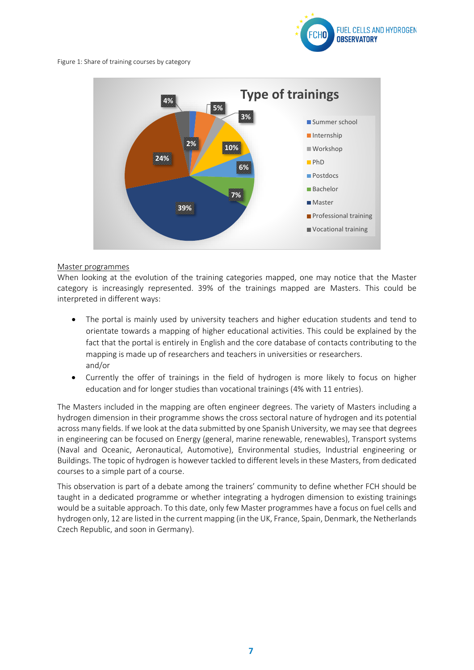

Figure 1: Share of training courses by category



#### Master programmes

When looking at the evolution of the training categories mapped, one may notice that the Master category is increasingly represented. 39% of the trainings mapped are Masters. This could be interpreted in different ways:

- The portal is mainly used by university teachers and higher education students and tend to orientate towards a mapping of higher educational activities. This could be explained by the fact that the portal is entirely in English and the core database of contacts contributing to the mapping is made up of researchers and teachers in universities or researchers. and/or
- Currently the offer of trainings in the field of hydrogen is more likely to focus on higher education and for longer studies than vocational trainings (4% with 11 entries).

The Masters included in the mapping are often engineer degrees. The variety of Masters including a hydrogen dimension in their programme shows the cross sectoral nature of hydrogen and its potential across many fields. If we look at the data submitted by one Spanish University, we may see that degrees in engineering can be focused on Energy (general, marine renewable, renewables), Transport systems (Naval and Oceanic, Aeronautical, Automotive), Environmental studies, Industrial engineering or Buildings. The topic of hydrogen is however tackled to different levels in these Masters, from dedicated courses to a simple part of a course.

This observation is part of a debate among the trainers' community to define whether FCH should be taught in a dedicated programme or whether integrating a hydrogen dimension to existing trainings would be a suitable approach. To this date, only few Master programmes have a focus on fuel cells and hydrogen only, 12 are listed in the current mapping (in the UK, France, Spain, Denmark, the Netherlands Czech Republic, and soon in Germany).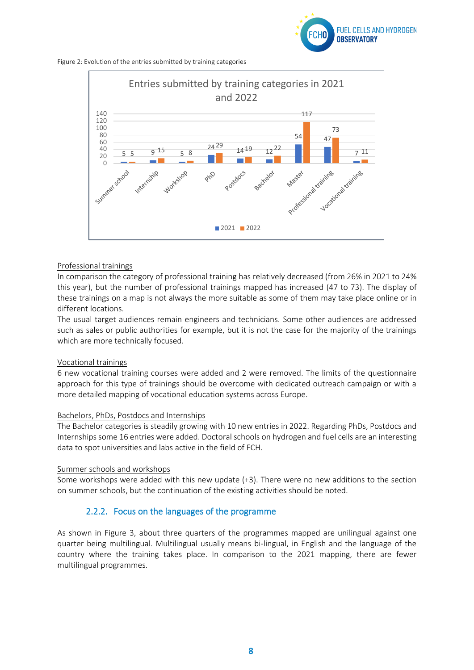

Figure 2: Evolution of the entries submitted by training categories



#### Professional trainings

In comparison the category of professional training has relatively decreased (from 26% in 2021 to 24% this year), but the number of professional trainings mapped has increased (47 to 73). The display of these trainings on a map is not always the more suitable as some of them may take place online or in different locations.

The usual target audiences remain engineers and technicians. Some other audiences are addressed such as sales or public authorities for example, but it is not the case for the majority of the trainings which are more technically focused.

#### Vocational trainings

6 new vocational training courses were added and 2 were removed. The limits of the questionnaire approach for this type of trainings should be overcome with dedicated outreach campaign or with a more detailed mapping of vocational education systems across Europe.

#### Bachelors, PhDs, Postdocs and Internships

The Bachelor categories is steadily growing with 10 new entries in 2022. Regarding PhDs, Postdocs and Internships some 16 entries were added. Doctoral schools on hydrogen and fuel cells are an interesting data to spot universities and labs active in the field of FCH.

#### Summer schools and workshops

<span id="page-8-0"></span>Some workshops were added with this new update (+3). There were no new additions to the section on summer schools, but the continuation of the existing activities should be noted.

### 2.2.2. Focus on the languages of the programme

As shown in Figure 3, about three quarters of the programmes mapped are unilingual against one quarter being multilingual. Multilingual usually means bi-lingual, in English and the language of the country where the training takes place. In comparison to the 2021 mapping, there are fewer multilingual programmes.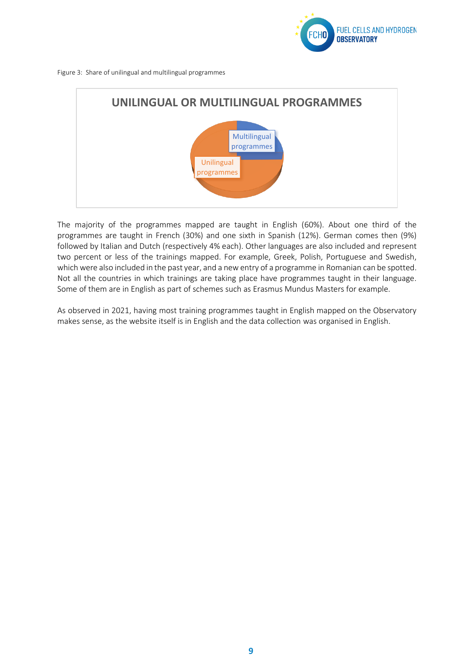

Figure 3: Share of unilingual and multilingual programmes



The majority of the programmes mapped are taught in English (60%). About one third of the programmes are taught in French (30%) and one sixth in Spanish (12%). German comes then (9%) followed by Italian and Dutch (respectively 4% each). Other languages are also included and represent two percent or less of the trainings mapped. For example, Greek, Polish, Portuguese and Swedish, which were also included in the past year, and a new entry of a programme in Romanian can be spotted. Not all the countries in which trainings are taking place have programmes taught in their language. Some of them are in English as part of schemes such as Erasmus Mundus Masters for example.

As observed in 2021, having most training programmes taught in English mapped on the Observatory makes sense, as the website itself is in English and the data collection was organised in English.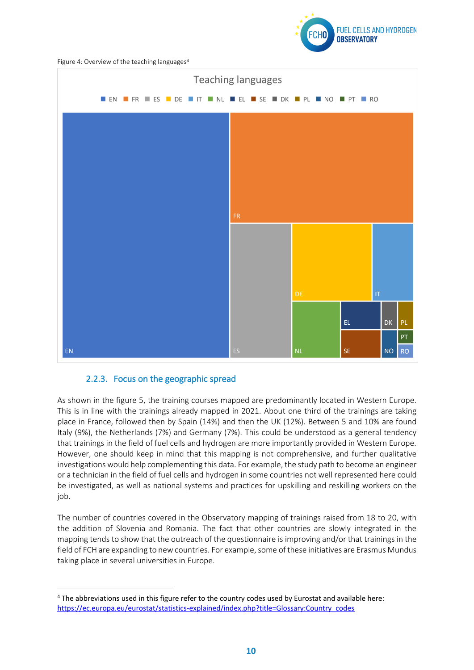

Figure 4: Overview of the teaching languages<sup>4</sup>



### <span id="page-10-0"></span>2.2.3. Focus on the geographic spread

As shown in the figure 5, the training courses mapped are predominantly located in Western Europe. This is in line with the trainings already mapped in 2021. About one third of the trainings are taking place in France, followed then by Spain (14%) and then the UK (12%). Between 5 and 10% are found Italy (9%), the Netherlands (7%) and Germany (7%). This could be understood as a general tendency that trainings in the field of fuel cells and hydrogen are more importantly provided in Western Europe. However, one should keep in mind that this mapping is not comprehensive, and further qualitative investigations would help complementing this data. For example, the study path to become an engineer or a technician in the field of fuel cells and hydrogen in some countries not well represented here could be investigated, as well as national systems and practices for upskilling and reskilling workers on the job.

The number of countries covered in the Observatory mapping of trainings raised from 18 to 20, with the addition of Slovenia and Romania. The fact that other countries are slowly integrated in the mapping tends to show that the outreach of the questionnaire is improving and/or that trainings in the field of FCH are expanding to new countries. For example, some of these initiatives are Erasmus Mundus taking place in several universities in Europe.

<sup>4</sup> The abbreviations used in this figure refer to the country codes used by Eurostat and available here: [https://ec.europa.eu/eurostat/statistics-explained/index.php?title=Glossary:Country\\_codes](https://ec.europa.eu/eurostat/statistics-explained/index.php?title=Glossary:Country_codes)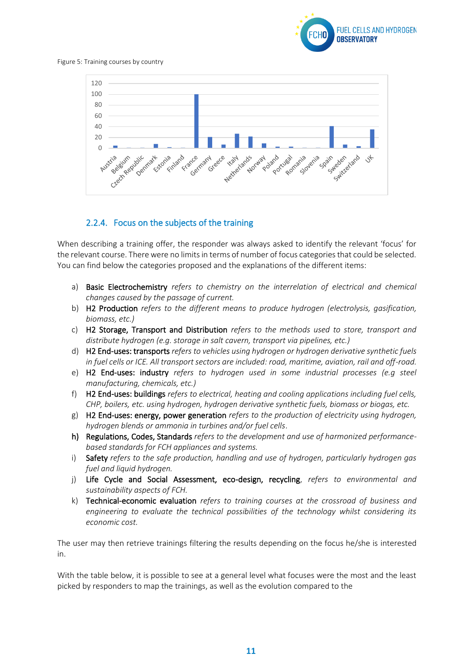

Figure 5: Training courses by country



### <span id="page-11-0"></span>2.2.4. Focus on the subjects of the training

When describing a training offer, the responder was always asked to identify the relevant 'focus' for the relevant course. There were no limits in terms of number of focus categories that could be selected. You can find below the categories proposed and the explanations of the different items:

- a) Basic Electrochemistry *refers to chemistry on the interrelation of electrical and chemical changes caused by the passage of current.*
- b) H2 Production *refers to the different means to produce hydrogen (electrolysis, gasification, biomass, etc.)*
- c) H2 Storage, Transport and Distribution *refers to the methods used to store, transport and distribute hydrogen (e.g. storage in salt cavern, transport via pipelines, etc.)*
- d) H2 End-uses: transports *refers to vehicles using hydrogen or hydrogen derivative synthetic fuels in fuel cells or ICE. All transport sectors are included: road, maritime, aviation, rail and off-road.*
- e) H2 End-uses: industry *refers to hydrogen used in some industrial processes (e.g steel manufacturing, chemicals, etc.)*
- f) H2 End-uses: buildings *refers to electrical, heating and cooling applications including fuel cells, CHP, boilers, etc. using hydrogen, hydrogen derivative synthetic fuels, biomass or biogas, etc.*
- g) H2 End-uses: energy, power generation *refers to the production of electricity using hydrogen, hydrogen blends or ammonia in turbines and/or fuel cells*.
- h) Regulations, Codes, Standards *refers to the development and use of harmonized performancebased standards for FCH appliances and systems.*
- i) Safety *refers to the safe production, handling and use of hydrogen, particularly hydrogen gas fuel and liquid hydrogen.*
- j) Life Cycle and Social Assessment, eco-design, recycling, *refers to environmental and sustainability aspects of FCH.*
- k) Technical-economic evaluation *refers to training courses at the crossroad of business and engineering to evaluate the technical possibilities of the technology whilst considering its economic cost.*

The user may then retrieve trainings filtering the results depending on the focus he/she is interested in.

With the table below, it is possible to see at a general level what focuses were the most and the least picked by responders to map the trainings, as well as the evolution compared to the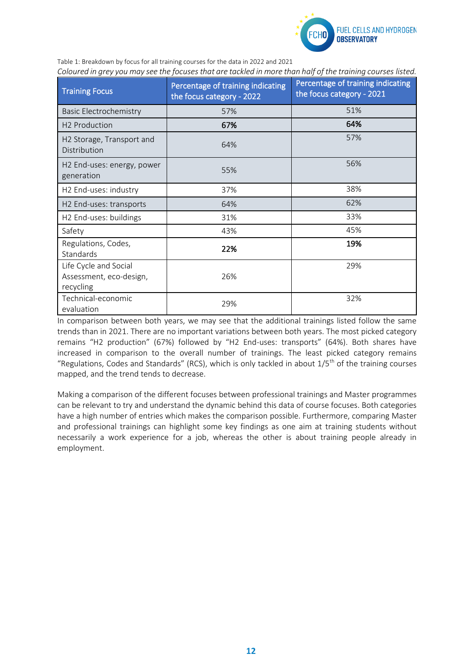

Table 1: Breakdown by focus for all training courses for the data in 2022 and 2021 *Coloured in grey you may see the focuses that are tackled in more than half of the training courses listed.*

| <b>Training Focus</b>                                         | Percentage of training indicating<br>the focus category - 2022 | Percentage of training indicating<br>the focus category - 2021 |
|---------------------------------------------------------------|----------------------------------------------------------------|----------------------------------------------------------------|
| <b>Basic Electrochemistry</b>                                 | 57%                                                            | 51%                                                            |
| H2 Production                                                 | 67%                                                            | 64%                                                            |
| H2 Storage, Transport and<br>Distribution                     | 64%                                                            | 57%                                                            |
| H <sub>2</sub> End-uses: energy, power<br>generation          | 55%                                                            | 56%                                                            |
| H2 End-uses: industry                                         | 37%                                                            | 38%                                                            |
| H2 End-uses: transports                                       | 64%                                                            | 62%                                                            |
| H2 End-uses: buildings                                        | 31%                                                            | 33%                                                            |
| Safety                                                        | 43%                                                            | 45%                                                            |
| Regulations, Codes,<br>Standards                              | 22%                                                            | 19%                                                            |
| Life Cycle and Social<br>Assessment, eco-design,<br>recycling | 26%                                                            | 29%                                                            |
| Technical-economic<br>evaluation                              | 29%                                                            | 32%                                                            |

In comparison between both years, we may see that the additional trainings listed follow the same trends than in 2021. There are no important variations between both years. The most picked category remains "H2 production" (67%) followed by "H2 End-uses: transports" (64%). Both shares have increased in comparison to the overall number of trainings. The least picked category remains "Regulations, Codes and Standards" (RCS), which is only tackled in about  $1/5<sup>th</sup>$  of the training courses mapped, and the trend tends to decrease.

Making a comparison of the different focuses between professional trainings and Master programmes can be relevant to try and understand the dynamic behind this data of course focuses. Both categories have a high number of entries which makes the comparison possible. Furthermore, comparing Master and professional trainings can highlight some key findings as one aim at training students without necessarily a work experience for a job, whereas the other is about training people already in employment.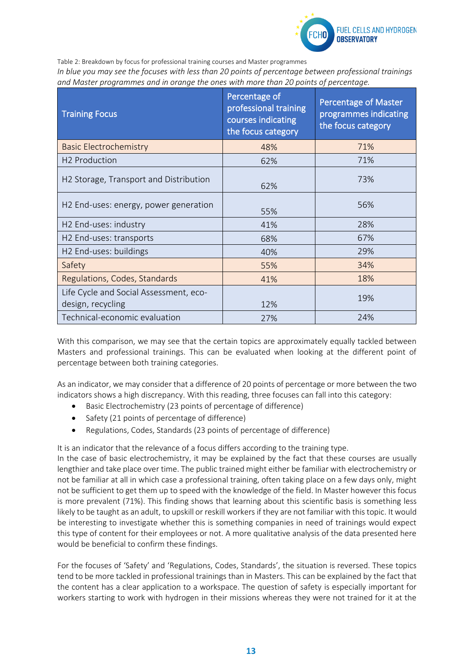

Table 2: Breakdown by focus for professional training courses and Master programmes

*In blue you may see the focuses with less than 20 points of percentage between professional trainings and Master programmes and in orange the ones with more than 20 points of percentage.*

| <b>Training Focus</b>                                       | Percentage of<br>professional training<br>courses indicating<br>the focus category | <b>Percentage of Master</b><br>programmes indicating<br>the focus category |
|-------------------------------------------------------------|------------------------------------------------------------------------------------|----------------------------------------------------------------------------|
| <b>Basic Electrochemistry</b>                               | 48%                                                                                | 71%                                                                        |
| H <sub>2</sub> Production                                   | 62%                                                                                | 71%                                                                        |
| H <sub>2</sub> Storage, Transport and Distribution          | 62%                                                                                | 73%                                                                        |
| H2 End-uses: energy, power generation                       | 55%                                                                                | 56%                                                                        |
| H2 End-uses: industry                                       | 41%                                                                                | 28%                                                                        |
| H2 End-uses: transports                                     | 68%                                                                                | 67%                                                                        |
| H2 End-uses: buildings                                      | 40%                                                                                | 29%                                                                        |
| Safety                                                      | 55%                                                                                | 34%                                                                        |
| Regulations, Codes, Standards                               | 41%                                                                                | 18%                                                                        |
| Life Cycle and Social Assessment, eco-<br>design, recycling | 12%                                                                                | 19%                                                                        |
| Technical-economic evaluation                               | 27%                                                                                | 24%                                                                        |

With this comparison, we may see that the certain topics are approximately equally tackled between Masters and professional trainings. This can be evaluated when looking at the different point of percentage between both training categories.

As an indicator, we may consider that a difference of 20 points of percentage or more between the two indicators shows a high discrepancy. With this reading, three focuses can fall into this category:

- Basic Electrochemistry (23 points of percentage of difference)
- Safety (21 points of percentage of difference)
- Regulations, Codes, Standards (23 points of percentage of difference)

It is an indicator that the relevance of a focus differs according to the training type.

In the case of basic electrochemistry, it may be explained by the fact that these courses are usually lengthier and take place over time. The public trained might either be familiar with electrochemistry or not be familiar at all in which case a professional training, often taking place on a few days only, might not be sufficient to get them up to speed with the knowledge of the field. In Master however this focus is more prevalent (71%). This finding shows that learning about this scientific basis is something less likely to be taught as an adult, to upskill or reskill workers if they are not familiar with this topic. It would be interesting to investigate whether this is something companies in need of trainings would expect this type of content for their employees or not. A more qualitative analysis of the data presented here would be beneficial to confirm these findings.

For the focuses of 'Safety' and 'Regulations, Codes, Standards', the situation is reversed. These topics tend to be more tackled in professional trainings than in Masters. This can be explained by the fact that the content has a clear application to a workspace. The question of safety is especially important for workers starting to work with hydrogen in their missions whereas they were not trained for it at the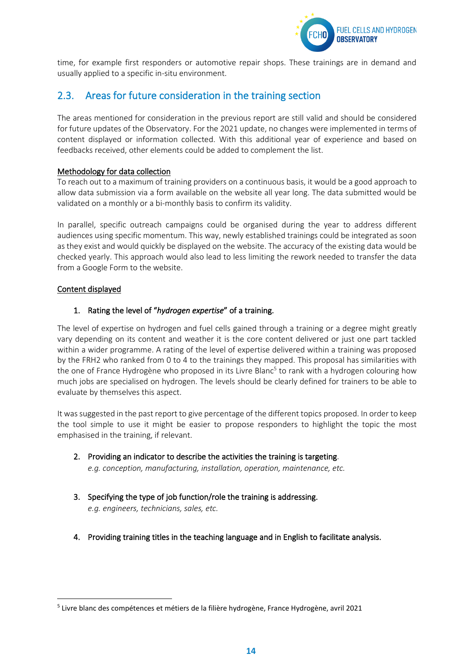

time, for example first responders or automotive repair shops. These trainings are in demand and usually applied to a specific in-situ environment.

## <span id="page-14-0"></span>2.3. Areas for future consideration in the training section

The areas mentioned for consideration in the previous report are still valid and should be considered for future updates of the Observatory. For the 2021 update, no changes were implemented in terms of content displayed or information collected. With this additional year of experience and based on feedbacks received, other elements could be added to complement the list.

#### Methodology for data collection

To reach out to a maximum of training providers on a continuous basis, it would be a good approach to allow data submission via a form available on the website all year long. The data submitted would be validated on a monthly or a bi-monthly basis to confirm its validity.

In parallel, specific outreach campaigns could be organised during the year to address different audiences using specific momentum. This way, newly established trainings could be integrated as soon as they exist and would quickly be displayed on the website. The accuracy of the existing data would be checked yearly. This approach would also lead to less limiting the rework needed to transfer the data from a Google Form to the website.

#### Content displayed

### 1. Rating the level of "*hydrogen expertise*" of a training.

The level of expertise on hydrogen and fuel cells gained through a training or a degree might greatly vary depending on its content and weather it is the core content delivered or just one part tackled within a wider programme. A rating of the level of expertise delivered within a training was proposed by the FRH2 who ranked from 0 to 4 to the trainings they mapped. This proposal has similarities with the one of France Hydrogène who proposed in its Livre Blanc<sup>5</sup> to rank with a hydrogen colouring how much jobs are specialised on hydrogen. The levels should be clearly defined for trainers to be able to evaluate by themselves this aspect.

It was suggested in the past report to give percentage of the different topics proposed. In order to keep the tool simple to use it might be easier to propose responders to highlight the topic the most emphasised in the training, if relevant.

- 2. Providing an indicator to describe the activities the training is targeting. *e.g. conception, manufacturing, installation, operation, maintenance, etc.*
- 3. Specifying the type of job function/role the training is addressing. *e.g. engineers, technicians, sales, etc.*
- 4. Providing training titles in the teaching language and in English to facilitate analysis.

<sup>&</sup>lt;sup>5</sup> Livre blanc des compétences et métiers de la filière hydrogène, France Hydrogène, avril 2021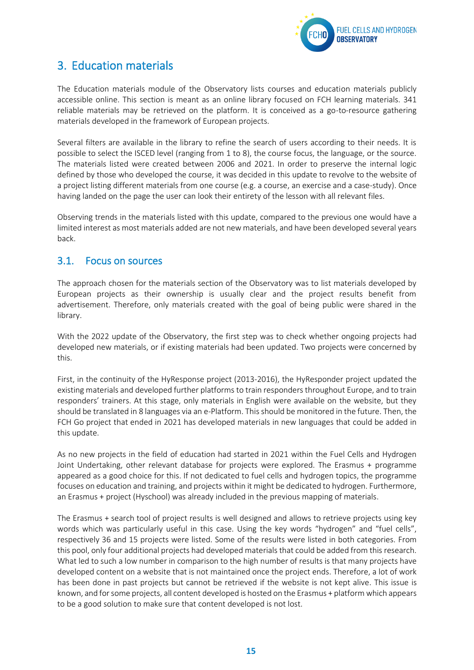

# <span id="page-15-0"></span>3. Education materials

The Education materials module of the Observatory lists courses and education materials publicly accessible online. This section is meant as an online library focused on FCH learning materials. 341 reliable materials may be retrieved on the platform. It is conceived as a go-to-resource gathering materials developed in the framework of European projects.

Several filters are available in the library to refine the search of users according to their needs. It is possible to select the ISCED level (ranging from 1 to 8), the course focus, the language, or the source. The materials listed were created between 2006 and 2021. In order to preserve the internal logic defined by those who developed the course, it was decided in this update to revolve to the website of a project listing different materials from one course (e.g. a course, an exercise and a case-study). Once having landed on the page the user can look their entirety of the lesson with all relevant files.

Observing trends in the materials listed with this update, compared to the previous one would have a limited interest as most materials added are not new materials, and have been developed several years back.

## <span id="page-15-1"></span>3.1. Focus on sources

The approach chosen for the materials section of the Observatory was to list materials developed by European projects as their ownership is usually clear and the project results benefit from advertisement. Therefore, only materials created with the goal of being public were shared in the library.

With the 2022 update of the Observatory, the first step was to check whether ongoing projects had developed new materials, or if existing materials had been updated. Two projects were concerned by this.

First, in the continuity of the HyResponse project (2013-2016), the HyResponder project updated the existing materials and developed further platforms to train responders throughout Europe, and to train responders' trainers. At this stage, only materials in English were available on the website, but they should be translated in 8 languages via an e-Platform. This should be monitored in the future. Then, the FCH Go project that ended in 2021 has developed materials in new languages that could be added in this update.

As no new projects in the field of education had started in 2021 within the Fuel Cells and Hydrogen Joint Undertaking, other relevant database for projects were explored. The Erasmus + programme appeared as a good choice for this. If not dedicated to fuel cells and hydrogen topics, the programme focuses on education and training, and projects within it might be dedicated to hydrogen. Furthermore, an Erasmus + project (Hyschool) was already included in the previous mapping of materials.

The Erasmus + search tool of project results is well designed and allows to retrieve projects using key words which was particularly useful in this case. Using the key words "hydrogen" and "fuel cells", respectively 36 and 15 projects were listed. Some of the results were listed in both categories. From this pool, only four additional projects had developed materials that could be added from this research. What led to such a low number in comparison to the high number of results is that many projects have developed content on a website that is not maintained once the project ends. Therefore, a lot of work has been done in past projects but cannot be retrieved if the website is not kept alive. This issue is known, and for some projects, all content developed is hosted on the Erasmus + platform which appears to be a good solution to make sure that content developed is not lost.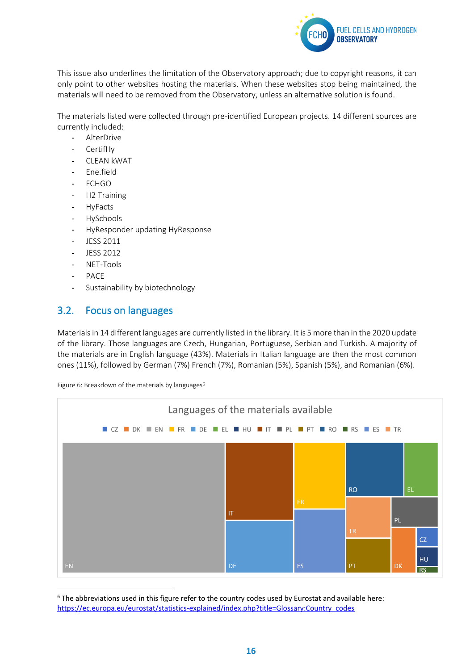

This issue also underlines the limitation of the Observatory approach; due to copyright reasons, it can only point to other websites hosting the materials. When these websites stop being maintained, the materials will need to be removed from the Observatory, unless an alternative solution is found.

The materials listed were collected through pre-identified European projects. 14 different sources are currently included:

- **AlterDrive**
- CertifHy
- CLEAN kWAT
- Ene.field
- **FCHGO**
- H2 Training
- HyFacts
- **HySchools**
- HyResponder updating HyResponse
- JESS 2011
- JESS 2012
- NET-Tools
- PACE
- Sustainability by biotechnology

### <span id="page-16-0"></span>3.2. Focus on languages

Materials in 14 different languages are currently listed in the library. It is 5 more than in the 2020 update of the library. Those languages are Czech, Hungarian, Portuguese, Serbian and Turkish. A majority of the materials are in English language (43%). Materials in Italian language are then the most common ones (11%), followed by German (7%) French (7%), Romanian (5%), Spanish (5%), and Romanian (6%).

Figure 6: Breakdown of the materials by languages<sup>6</sup>



 $6$  The abbreviations used in this figure refer to the country codes used by Eurostat and available here: [https://ec.europa.eu/eurostat/statistics-explained/index.php?title=Glossary:Country\\_codes](https://ec.europa.eu/eurostat/statistics-explained/index.php?title=Glossary:Country_codes)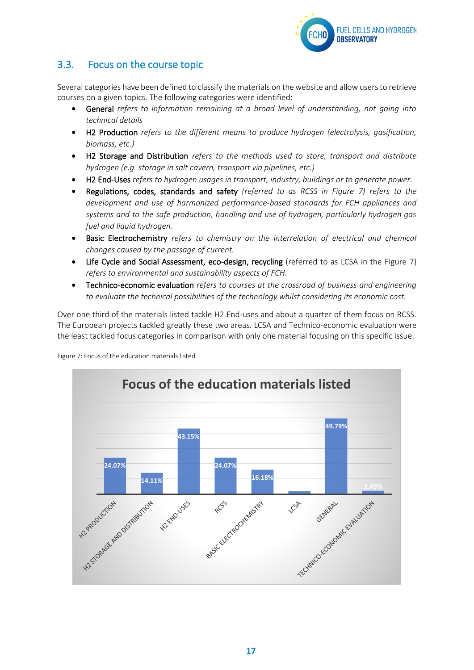

## <span id="page-17-0"></span>3.3. Focus on the course topic

Several categories have been defined to classify the materials on the website and allow users to retrieve courses on a given topics. The following categories were identified:

- General *refers to information remaining at a broad level of understanding, not going into technical details*
- H2 Production *refers to the different means to produce hydrogen (electrolysis, gasification, biomass, etc.)*
- H2 Storage and Distribution *refers to the methods used to store, transport and distribute hydrogen (e.g. storage in salt cavern, transport via pipelines, etc.)*
- H2 End-Uses *refers to hydrogen usages in transport, industry, buildings or to generate power.*
- Regulations, codes, standards and safety *(referred to as RCSS in Figure 7) refers to the development and use of harmonized performance-based standards for FCH appliances and systems and to the safe production, handling and use of hydrogen, particularly hydrogen gas fuel and liquid hydrogen.*
- Basic Electrochemistry *refers to chemistry on the interrelation of electrical and chemical changes caused by the passage of current.*
- Life Cycle and Social Assessment, eco-design, recycling (referred to as LCSA in the Figure 7) *refers to environmental and sustainability aspects of FCH.*
- Technico-economic evaluation *refers to courses at the crossroad of business and engineering to evaluate the technical possibilities of the technology whilst considering its economic cost.*

Over one third of the materials listed tackle H2 End-uses and about a quarter of them focus on RCSS. The European projects tackled greatly these two areas. LCSA and Technico-economic evaluation were the least tackled focus categories in comparison with only one material focusing on this specific issue.



Figure 7: Focus of the education materials listed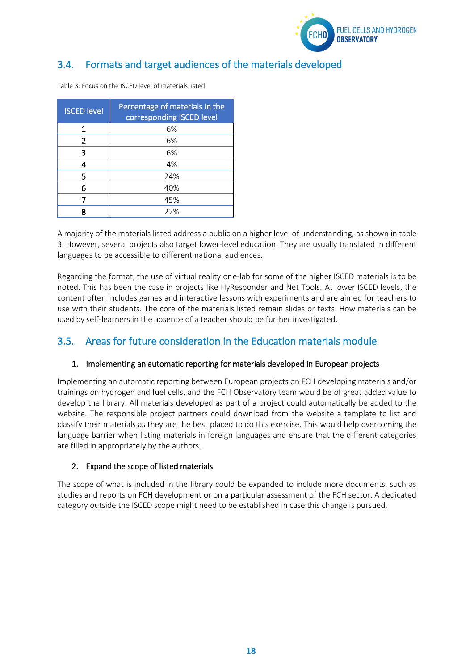

## <span id="page-18-0"></span>3.4. Formats and target audiences of the materials developed

| <b>ISCED level</b> | Percentage of materials in the<br>corresponding ISCED level |
|--------------------|-------------------------------------------------------------|
| 1                  | 6%                                                          |
| 2                  | 6%                                                          |
| 3                  | 6%                                                          |
| 4                  | 4%                                                          |
| 5                  | 24%                                                         |
| 6                  | 40%                                                         |
|                    | 45%                                                         |
|                    | 22%                                                         |

Table 3: Focus on the ISCED level of materials listed

A majority of the materials listed address a public on a higher level of understanding, as shown in table 3. However, several projects also target lower-level education. They are usually translated in different languages to be accessible to different national audiences.

Regarding the format, the use of virtual reality or e-lab for some of the higher ISCED materials is to be noted. This has been the case in projects like HyResponder and Net Tools. At lower ISCED levels, the content often includes games and interactive lessons with experiments and are aimed for teachers to use with their students. The core of the materials listed remain slides or texts. How materials can be used by self-learners in the absence of a teacher should be further investigated.

## <span id="page-18-1"></span>3.5. Areas for future consideration in the Education materials module

### 1. Implementing an automatic reporting for materials developed in European projects

Implementing an automatic reporting between European projects on FCH developing materials and/or trainings on hydrogen and fuel cells, and the FCH Observatory team would be of great added value to develop the library. All materials developed as part of a project could automatically be added to the website. The responsible project partners could download from the website a template to list and classify their materials as they are the best placed to do this exercise. This would help overcoming the language barrier when listing materials in foreign languages and ensure that the different categories are filled in appropriately by the authors.

### 2. Expand the scope of listed materials

The scope of what is included in the library could be expanded to include more documents, such as studies and reports on FCH development or on a particular assessment of the FCH sector. A dedicated category outside the ISCED scope might need to be established in case this change is pursued.